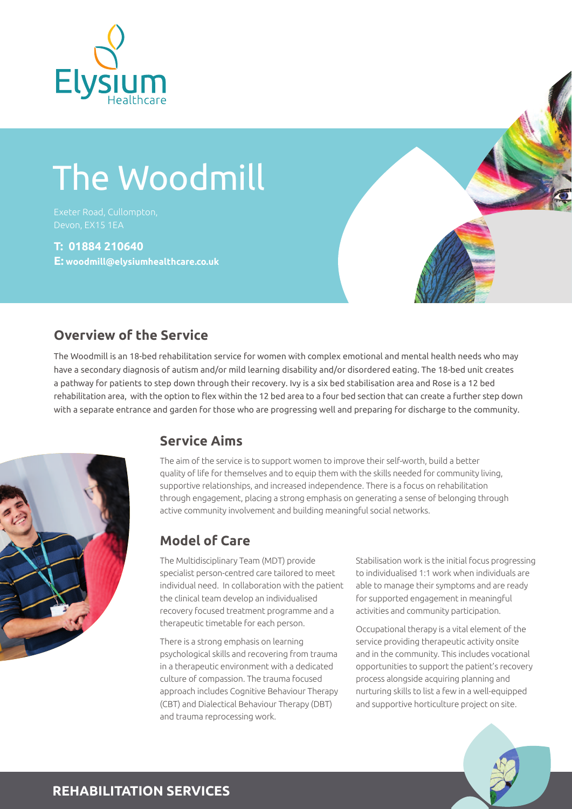

# The Woodmill

Exeter Road, Cullompton,

#### **T: 01884 210640**

**E: woodmill@elysiumhealthcare.co.uk**



The Woodmill is an 18-bed rehabilitation service for women with complex emotional and mental health needs who may have a secondary diagnosis of autism and/or mild learning disability and/or disordered eating. The 18-bed unit creates a pathway for patients to step down through their recovery. Ivy is a six bed stabilisation area and Rose is a 12 bed rehabilitation area, with the option to flex within the 12 bed area to a four bed section that can create a further step down with a separate entrance and garden for those who are progressing well and preparing for discharge to the community.



#### **Service Aims**

The aim of the service is to support women to improve their self-worth, build a better quality of life for themselves and to equip them with the skills needed for community living, supportive relationships, and increased independence. There is a focus on rehabilitation through engagement, placing a strong emphasis on generating a sense of belonging through active community involvement and building meaningful social networks.

### **Model of Care**

The Multidisciplinary Team (MDT) provide specialist person-centred care tailored to meet individual need. In collaboration with the patient the clinical team develop an individualised recovery focused treatment programme and a therapeutic timetable for each person.

There is a strong emphasis on learning psychological skills and recovering from trauma in a therapeutic environment with a dedicated culture of compassion. The trauma focused approach includes Cognitive Behaviour Therapy (CBT) and Dialectical Behaviour Therapy (DBT) and trauma reprocessing work.

Stabilisation work is the initial focus progressing to individualised 1:1 work when individuals are able to manage their symptoms and are ready for supported engagement in meaningful activities and community participation.

Occupational therapy is a vital element of the service providing therapeutic activity onsite and in the community. This includes vocational opportunities to support the patient's recovery process alongside acquiring planning and nurturing skills to list a few in a well-equipped and supportive horticulture project on site.